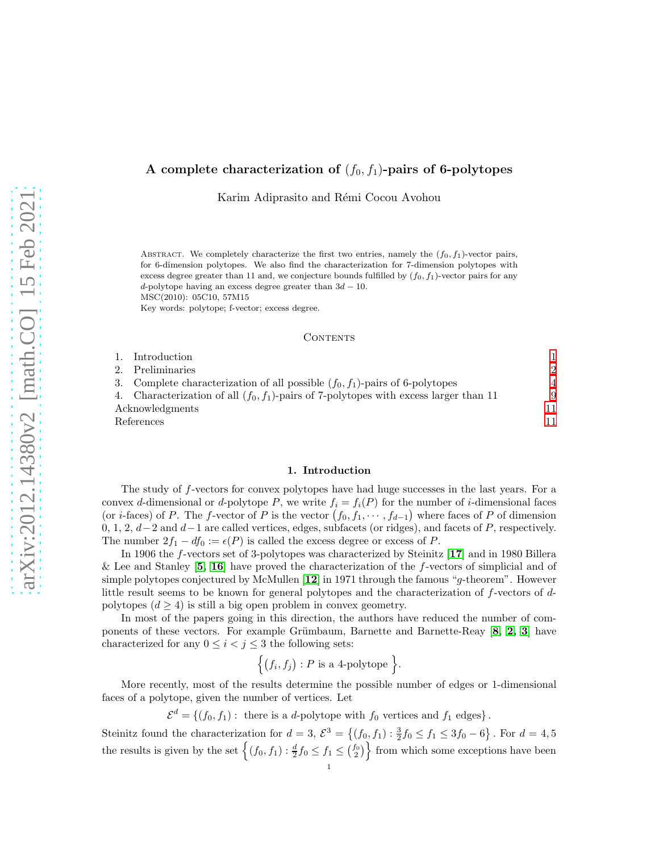### A complete characterization of  $(f_0, f_1)$ -pairs of 6-polytopes

Karim Adiprasito and Rémi Cocou Avohou

ABSTRACT. We completely characterize the first two entries, namely the  $(f_0, f_1)$ -vector pairs, for 6-dimension polytopes. We also find the characterization for 7-dimension polytopes with excess degree greater than 11 and, we conjecture bounds fulfilled by  $(f_0, f_1)$ -vector pairs for any d-polytope having an excess degree greater than  $3d - 10$ . MSC(2010): 05C10, 57M15

Key words: polytope; f-vector; excess degree.

### CONTENTS

|                 | 1. Introduction                                                                          |               |
|-----------------|------------------------------------------------------------------------------------------|---------------|
|                 | 2. Preliminaries                                                                         | $\mathcal{D}$ |
|                 | 3. Complete characterization of all possible $(f_0, f_1)$ -pairs of 6-polytopes          |               |
|                 | 4. Characterization of all $(f_0, f_1)$ -pairs of 7-polytopes with excess larger than 11 | 9             |
| Acknowledgments |                                                                                          | 11            |
| References      |                                                                                          | 11            |

#### 1. Introduction

<span id="page-0-0"></span>The study of f-vectors for convex polytopes have had huge successes in the last years. For a convex d-dimensional or d-polytope P, we write  $f_i = f_i(P)$  for the number of i-dimensional faces (or *i*-faces) of P. The f-vector of P is the vector  $(f_0, f_1, \dots, f_{d-1})$  where faces of P of dimension 0, 1, 2, d−2 and d−1 are called vertices, edges, subfacets (or ridges), and facets of P, respectively. The number  $2f_1 - df_0 := \epsilon(P)$  is called the excess degree or excess of P.

In 1906 the f-vectors set of 3-polytopes was characterized by Steinitz [[17](#page-11-0)] and in 1980 Billera & Lee and Stanley  $[5, 16]$  $[5, 16]$  $[5, 16]$  $[5, 16]$  have proved the characterization of the f-vectors of simplicial and of simple polytopes conjectured by McMullen [[12](#page-10-3)] in 1971 through the famous "g-theorem". However little result seems to be known for general polytopes and the characterization of f-vectors of dpolytopes  $(d \geq 4)$  is still a big open problem in convex geometry.

In most of the papers going in this direction, the authors have reduced the number of com-ponents of these vectors. For example Grümbaum, Barnette and Barnette-Reay [[8,](#page-10-4) [2,](#page-10-5) [3](#page-10-6)] have characterized for any  $0 \leq i < j \leq 3$  the following sets:

$$
\Big\{\big(f_i,f_j\big): P\text{ is a 4-polytope }\Big\}.
$$

More recently, most of the results determine the possible number of edges or 1-dimensional faces of a polytope, given the number of vertices. Let

 $\mathcal{E}^d = \{(f_0, f_1): \text{ there is a } d\text{-polytope with } f_0 \text{ vertices and } f_1 \text{ edges}\}.$ 

Steinitz found the characterization for  $d = 3$ ,  $\mathcal{E}^3 = \{(f_0, f_1) : \frac{3}{2}f_0 \le f_1 \le 3f_0 - 6\}$ . For  $d = 4, 5$ the results is given by the set  $\{(f_0, f_1) : \frac{d}{2}f_0 \leq f_1 \leq {f_0 \choose 2}\}$  from which some exceptions have been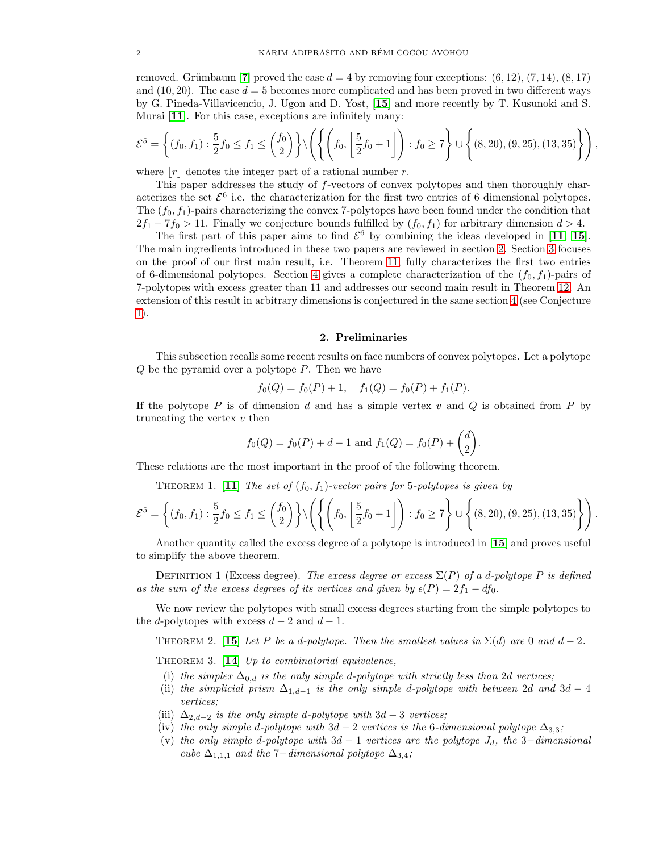removed. Grümbaum [[7](#page-10-7)] proved the case  $d = 4$  by removing four exceptions:  $(6, 12)$ ,  $(7, 14)$ ,  $(8, 17)$ and  $(10, 20)$ . The case  $d = 5$  becomes more complicated and has been proved in two different ways by G. Pineda-Villavicencio, J. Ugon and D. Yost, [[15](#page-11-2)] and more recently by T. Kusunoki and S. Murai [[11](#page-10-8)]. For this case, exceptions are infinitely many:

$$
\mathcal{E}^5 = \left\{ (f_0, f_1) : \frac{5}{2} f_0 \le f_1 \le {f_0 \choose 2} \right\} \setminus \left( \left\{ \left( f_0, \left[ \frac{5}{2} f_0 + 1 \right] \right) : f_0 \ge 7 \right\} \cup \left\{ (8, 20), (9, 25), (13, 35) \right\} \right),
$$

where  $|r|$  denotes the integer part of a rational number r.

This paper addresses the study of f-vectors of convex polytopes and then thoroughly characterizes the set  $\mathcal{E}^6$  i.e. the characterization for the first two entries of 6 dimensional polytopes. The  $(f_0, f_1)$ -pairs characterizing the convex 7-polytopes have been found under the condition that  $2f_1 - 7f_0 > 11$ . Finally we conjecture bounds fulfilled by  $(f_0, f_1)$  for arbitrary dimension  $d > 4$ .

The first part of this paper aims to find  $\mathcal{E}^6$  by combining the ideas developed in [[11,](#page-10-8) [15](#page-11-2)]. The main ingredients introduced in these two papers are reviewed in section [2.](#page-1-0) Section [3](#page-3-0) focuses on the proof of our first main result, i.e. Theorem [11,](#page-3-1) fully characterizes the first two entries of 6-dimensional polytopes. Section [4](#page-8-0) gives a complete characterization of the  $(f_0, f_1)$ -pairs of 7-polytopes with excess greater than 11 and addresses our second main result in Theorem [12.](#page-9-0) An extension of this result in arbitrary dimensions is conjectured in the same section [4](#page-8-0) (see Conjecture [1\)](#page-10-9).

### 2. Preliminaries

<span id="page-1-0"></span>This subsection recalls some recent results on face numbers of convex polytopes. Let a polytope Q be the pyramid over a polytope P. Then we have

$$
f_0(Q) = f_0(P) + 1, \quad f_1(Q) = f_0(P) + f_1(P).
$$

If the polytope P is of dimension d and has a simple vertex v and Q is obtained from P by truncating the vertex  $v$  then

$$
f_0(Q) = f_0(P) + d - 1
$$
 and  $f_1(Q) = f_0(P) + \begin{pmatrix} d \\ 2 \end{pmatrix}$ .

<span id="page-1-2"></span>These relations are the most important in the proof of the following theorem.

THEOREM 1. [[11](#page-10-8)] The set of  $(f_0, f_1)$ -vector pairs for 5-polytopes is given by

$$
\mathcal{E}^5 = \left\{ (f_0, f_1) : \frac{5}{2} f_0 \le f_1 \le {f_0 \choose 2} \right\} \setminus \left( \left\{ \left( f_0, \left[ \frac{5}{2} f_0 + 1 \right] \right) : f_0 \ge 7 \right\} \cup \left\{ (8, 20), (9, 25), (13, 35) \right\} \right).
$$

Another quantity called the excess degree of a polytope is introduced in [[15](#page-11-2)] and proves useful to simplify the above theorem.

DEFINITION 1 (Excess degree). The excess degree or excess  $\Sigma(P)$  of a d-polytope P is defined as the sum of the excess degrees of its vertices and given by  $\epsilon(P) = 2f_1 - df_0$ .

We now review the polytopes with small excess degrees starting from the simple polytopes to the d-polytopes with excess  $d-2$  and  $d-1$ .

<span id="page-1-1"></span>THEOREM 2. [[15](#page-11-2)] Let P be a d-polytope. Then the smallest values in  $\Sigma(d)$  are 0 and  $d-2$ .

<span id="page-1-3"></span>THEOREM 3.  $[14]$  $[14]$  $[14]$  Up to combinatorial equivalence,

- (i) the simplex  $\Delta_{0,d}$  is the only simple d-polytope with strictly less than 2d vertices;
- (ii) the simplicial prism  $\Delta_{1,d-1}$  is the only simple d-polytope with between 2d and 3d − 4 vertices;
- (iii)  $\Delta_{2,d-2}$  is the only simple d-polytope with 3d 3 vertices;
- (iv) the only simple d-polytope with  $3d-2$  vertices is the 6-dimensional polytope  $\Delta_{3,3}$ ;
- (v) the only simple d-polytope with  $3d 1$  vertices are the polytope  $J_d$ , the 3-dimensional cube  $\Delta_{1,1,1}$  and the 7-dimensional polytope  $\Delta_{3,4}$ ;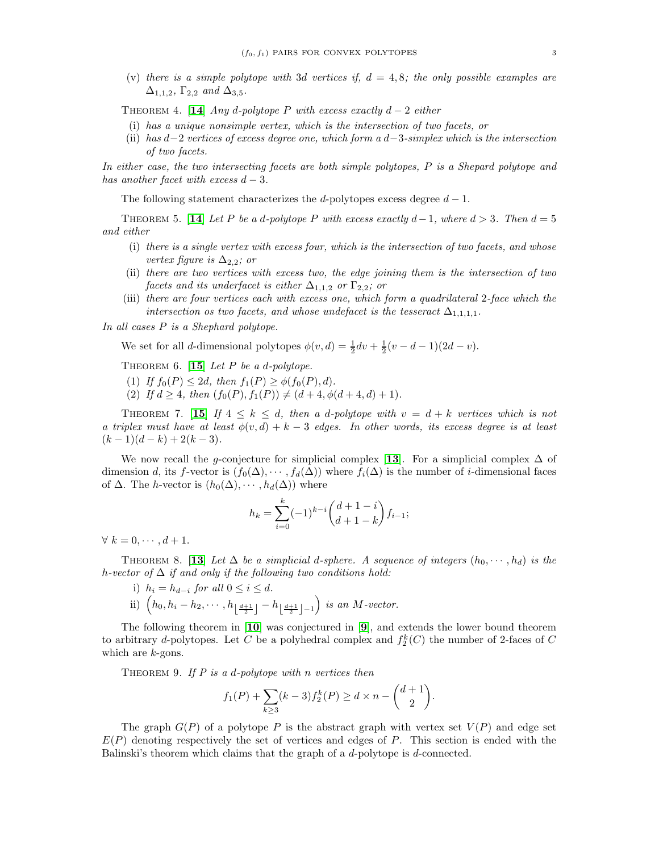(v) there is a simple polytope with 3d vertices if,  $d = 4, 8$ ; the only possible examples are  $\Delta_{1,1,2}$ ,  $\Gamma_{2,2}$  and  $\Delta_{3,5}$ .

<span id="page-2-3"></span>THEOREM 4. [[14](#page-11-3)] Any d-polytope P with excess exactly  $d-2$  either

- (i) has a unique nonsimple vertex, which is the intersection of two facets, or
- (ii) has  $d-2$  vertices of excess degree one, which form a  $d-3$ -simplex which is the intersection of two facets.

In either case, the two intersecting facets are both simple polytopes, P is a Shepard polytope and has another facet with excess  $d-3$ .

The following statement characterizes the d-polytopes excess degree  $d-1$ .

<span id="page-2-2"></span>THEOREM 5. [[14](#page-11-3)] Let P be a d-polytope P with excess exactly  $d-1$ , where  $d > 3$ . Then  $d = 5$ and either

- (i) there is a single vertex with excess four, which is the intersection of two facets, and whose vertex figure is  $\Delta_{2,2}$ ; or
- (ii) there are two vertices with excess two, the edge joining them is the intersection of two facets and its underfacet is either  $\Delta_{1,1,2}$  or  $\Gamma_{2,2}$ ; or
- (iii) there are four vertices each with excess one, which form a quadrilateral 2-face which the intersection os two facets, and whose undefacet is the tesseract  $\Delta_{1,1,1,1}$ .

In all cases P is a Shephard polytope.

We set for all *d*-dimensional polytopes  $\phi(v, d) = \frac{1}{2}dv + \frac{1}{2}(v - d - 1)(2d - v)$ .

<span id="page-2-0"></span>THEOREM 6. [[15](#page-11-2)] Let P be a d-polytope.

- (1) If  $f_0(P) \leq 2d$ , then  $f_1(P) \geq \phi(f_0(P), d)$ .
- (2) If  $d \geq 4$ , then  $(f_0(P), f_1(P)) \neq (d+4, \phi(d+4, d) + 1)$ .

<span id="page-2-1"></span>THEOREM 7. [[15](#page-11-2)] If  $4 \leq k \leq d$ , then a d-polytope with  $v = d + k$  vertices which is not a triplex must have at least  $\phi(v, d) + k - 3$  edges. In other words, its excess degree is at least  $(k-1)(d-k) + 2(k-3).$ 

We now recall the g-conjecture for simplicial complex [[13](#page-11-4)]. For a simplicial complex  $\Delta$  of dimension d, its f-vector is  $(f_0(\Delta), \cdots, f_d(\Delta))$  where  $f_i(\Delta)$  is the number of i-dimensional faces of  $\Delta$ . The *h*-vector is  $(h_0(\Delta), \cdots, h_d(\Delta))$  where

$$
h_k = \sum_{i=0}^{k} (-1)^{k-i} \binom{d+1-i}{d+1-k} f_{i-1};
$$

 $\forall k = 0, \cdots, d+1.$ 

<span id="page-2-5"></span>THEOREM 8. [[13](#page-11-4)] Let  $\Delta$  be a simplicial d-sphere. A sequence of integers  $(h_0, \dots, h_d)$  is the h-vector of  $\Delta$  if and only if the following two conditions hold:

- i)  $h_i = h_{d-i}$  for all  $0 \le i \le d$ .
- ii)  $\left(h_0, h_i h_2, \cdots, h_{\left\lfloor \frac{d+1}{2} \right\rfloor} h_{\left\lfloor \frac{d+1}{2} \right\rfloor 1}\right)$  is an M-vector.

The following theorem in [[10](#page-10-10)] was conjectured in [[9](#page-10-11)], and extends the lower bound theorem to arbitrary *d*-polytopes. Let C be a polyhedral complex and  $f_2^k(C)$  the number of 2-faces of C which are  $k$ -gons.

<span id="page-2-4"></span>THEOREM 9. If  $P$  is a d-polytope with n vertices then

$$
f_1(P) + \sum_{k \ge 3} (k-3) f_2^k(P) \ge d \times n - {d+1 \choose 2}.
$$

The graph  $G(P)$  of a polytope P is the abstract graph with vertex set  $V(P)$  and edge set  $E(P)$  denoting respectively the set of vertices and edges of P. This section is ended with the Balinski's theorem which claims that the graph of a d-polytope is d-connected.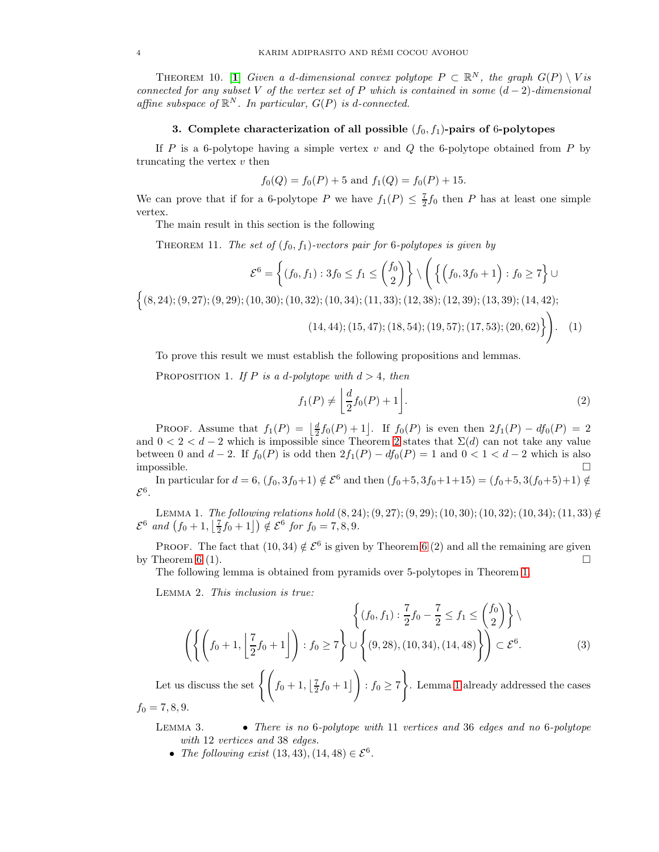THEOREM [1](#page-10-12)0. [1] Given a d-dimensional convex polytope  $P \subset \mathbb{R}^N$ , the graph  $G(P) \setminus Vis$ connected for any subset V of the vertex set of P which is contained in some  $(d-2)$ -dimensional affine subspace of  $\mathbb{R}^N$ . In particular,  $G(P)$  is d-connected.

# 3. Complete characterization of all possible  $(f_0, f_1)$ -pairs of 6-polytopes

<span id="page-3-0"></span>If P is a 6-polytope having a simple vertex  $v$  and  $Q$  the 6-polytope obtained from P by truncating the vertex  $v$  then

$$
f_0(Q) = f_0(P) + 5
$$
 and  $f_1(Q) = f_0(P) + 15$ .

We can prove that if for a 6-polytope P we have  $f_1(P) \leq \frac{7}{2} f_0$  then P has at least one simple vertex.

The main result in this section is the following

<span id="page-3-1"></span>THEOREM 11. The set of  $(f_0, f_1)$ -vectors pair for 6-polytopes is given by

$$
\mathcal{E}^6 = \left\{ (f_0, f_1) : 3f_0 \le f_1 \le {f_0 \choose 2} \right\} \setminus \left( \left\{ \left( f_0, 3f_0 + 1 \right) : f_0 \ge 7 \right\} \cup \right)
$$

 $\{(8, 24); (9, 27); (9, 29); (10, 30); (10, 32); (10, 34); (11, 33); (12, 38); (12, 39); (13, 39); (14, 42);$ 

$$
(14, 44); (15, 47); (18, 54); (19, 57); (17, 53); (20, 62) \bigg\}.
$$
 (1)

To prove this result we must establish the following propositions and lemmas.

<span id="page-3-4"></span>PROPOSITION 1. If P is a d-polytope with  $d > 4$ , then

$$
f_1(P) \neq \left\lfloor \frac{d}{2} f_0(P) + 1 \right\rfloor. \tag{2}
$$

PROOF. Assume that  $f_1(P) = \left\lfloor \frac{d}{2} f_0(P) + 1 \right\rfloor$ . If  $f_0(P)$  is even then  $2f_1(P) - df_0(P) = 2$ and  $0 < 2 < d-2$  $0 < 2 < d-2$  $0 < 2 < d-2$  which is impossible since Theorem 2 states that  $\Sigma(d)$  can not take any value between 0 and  $d-2$ . If  $f_0(P)$  is odd then  $2f_1(P) - df_0(P) = 1$  and  $0 < 1 < d-2$  which is also impossible.  $\square$ 

In particular for  $d = 6$ ,  $(f_0, 3f_0+1) \notin \mathcal{E}^6$  and then  $(f_0+5, 3f_0+1+15) = (f_0+5, 3(f_0+5)+1) \notin$  $\mathcal{E}^6$ .

<span id="page-3-2"></span>LEMMA 1. The following relations hold  $(8, 24)$ ;  $(9, 27)$ ;  $(9, 29)$ ;  $(10, 30)$ ;  $(10, 32)$ ;  $(10, 34)$ ;  $(11, 33) \notin$  $\mathcal{E}^6$  and  $(f_0 + 1, \lfloor \frac{7}{2}f_0 + 1 \rfloor) \notin \mathcal{E}^6$  for  $f_0 = 7, 8, 9$ .

PROOF. The fact that  $(10, 34) \notin \mathcal{E}^6$  is given by Theorem [6](#page-2-0) (2) and all the remaining are given by Theorem [6](#page-2-0) (1).

The following lemma is obtained from pyramids over 5-polytopes in Theorem [1.](#page-1-2)

<span id="page-3-3"></span>Lemma 2. This inclusion is true:

$$
\left\{ (f_0, f_1) : \frac{7}{2} f_0 - \frac{7}{2} \le f_1 \le {f_0 \choose 2} \right\} \setminus \left\{ (f_0 + 1, \left[ \frac{7}{2} f_0 + 1 \right] \right) : f_0 \ge 7 \right\} \cup \left\{ (9, 28), (10, 34), (14, 48) \right\} \right\} \subset \mathcal{E}^6.
$$
 (3)

Let us discuss the set  $\left\{ \left( f_0 + 1, \left[ \frac{7}{2} f_0 + 1 \right] \right) \right\}$  $\setminus$ :  $f_0 \geq 7$  $\mathcal{L}$ . Lemma [1](#page-3-2) already addressed the cases  $f_0 = 7, 8, 9.$ 

LEMMA 3. • There is no 6-polytope with 11 vertices and 36 edges and no 6-polytope with 12 vertices and 38 edges.

• The following exist  $(13, 43), (14, 48) \in \mathcal{E}^6$ .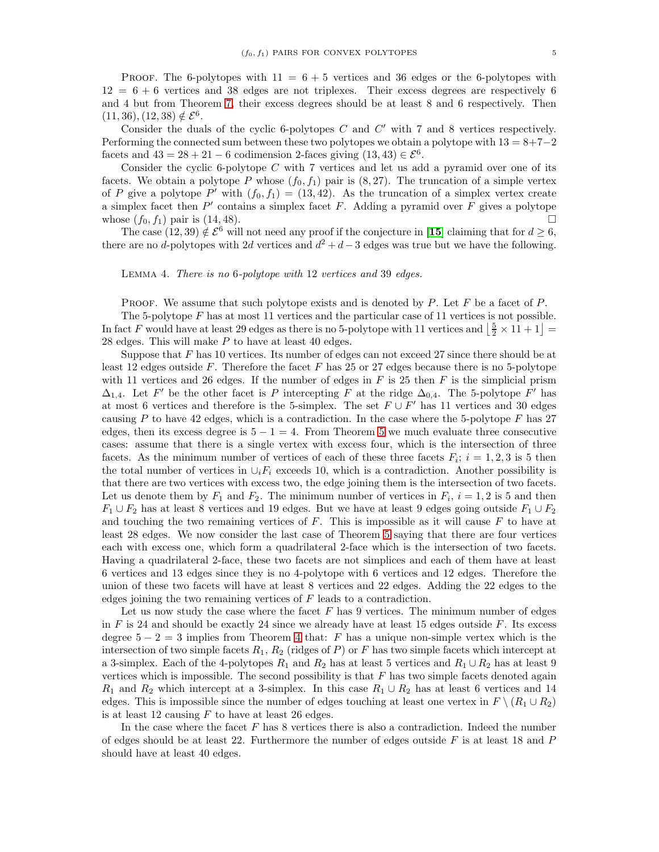PROOF. The 6-polytopes with  $11 = 6 + 5$  vertices and 36 edges or the 6-polytopes with  $12 = 6 + 6$  vertices and 38 edges are not triplexes. Their excess degrees are respectively 6 and 4 but from Theorem [7,](#page-2-1) their excess degrees should be at least 8 and 6 respectively. Then  $(11, 36), (12, 38) \notin \mathcal{E}^6.$ 

Consider the duals of the cyclic 6-polytopes  $C$  and  $C'$  with 7 and 8 vertices respectively. Performing the connected sum between these two polytopes we obtain a polytope with  $13 = 8+7-2$ facets and  $43 = 28 + 21 - 6$  codimension 2-faces giving  $(13, 43) \in \mathcal{E}^6$ .

Consider the cyclic 6-polytope  $C$  with 7 vertices and let us add a pyramid over one of its facets. We obtain a polytope P whose  $(f_0, f_1)$  pair is  $(8, 27)$ . The truncation of a simple vertex of P give a polytope P' with  $(f_0, f_1) = (13, 42)$ . As the truncation of a simplex vertex create a simplex facet then  $P'$  contains a simplex facet  $F$ . Adding a pyramid over  $F$  gives a polytope whose  $(f_0, f_1)$  pair is  $(14, 48)$ .

The case  $(12, 39) \notin \mathcal{E}^6$  will not need any proof if the conjecture in [[15](#page-11-2)] claiming that for  $d \geq 6$ , there are no d-polytopes with 2d vertices and  $d^2 + d - 3$  edges was true but we have the following.

Lemma 4. There is no 6-polytope with 12 vertices and 39 edges.

**PROOF.** We assume that such polytope exists and is denoted by P. Let F be a facet of P.

The 5-polytope F has at most 11 vertices and the particular case of 11 vertices is not possible. In fact F would have at least 29 edges as there is no 5-polytope with 11 vertices and  $\left\lfloor \frac{5}{2} \times 11 + 1 \right\rfloor$  =  $28$  edges. This will make  $P$  to have at least 40 edges.

Suppose that  $F$  has 10 vertices. Its number of edges can not exceed 27 since there should be at least 12 edges outside  $F$ . Therefore the facet  $F$  has 25 or 27 edges because there is no 5-polytope with 11 vertices and 26 edges. If the number of edges in  $F$  is 25 then  $F$  is the simplicial prism  $\Delta_{1,4}$ . Let F' be the other facet is P intercepting F at the ridge  $\Delta_{0,4}$ . The 5-polytope F' has at most 6 vertices and therefore is the 5-simplex. The set  $F \cup F'$  has 11 vertices and 30 edges causing  $P$  to have 42 edges, which is a contradiction. In the case where the 5-polytope  $F$  has 27 edges, then its excess degree is  $5 - 1 = 4$ . From Theorem [5](#page-2-2) we much evaluate three consecutive cases: assume that there is a single vertex with excess four, which is the intersection of three facets. As the minimum number of vertices of each of these three facets  $F_i$ ;  $i = 1, 2, 3$  is 5 then the total number of vertices in  $\cup_i F_i$  exceeds 10, which is a contradiction. Another possibility is that there are two vertices with excess two, the edge joining them is the intersection of two facets. Let us denote them by  $F_1$  and  $F_2$ . The minimum number of vertices in  $F_i$ ,  $i = 1, 2$  is 5 and then  $F_1 \cup F_2$  has at least 8 vertices and 19 edges. But we have at least 9 edges going outside  $F_1 \cup F_2$ and touching the two remaining vertices of  $F$ . This is impossible as it will cause  $F$  to have at least 28 edges. We now consider the last case of Theorem [5](#page-2-2) saying that there are four vertices each with excess one, which form a quadrilateral 2-face which is the intersection of two facets. Having a quadrilateral 2-face, these two facets are not simplices and each of them have at least 6 vertices and 13 edges since they is no 4-polytope with 6 vertices and 12 edges. Therefore the union of these two facets will have at least 8 vertices and 22 edges. Adding the 22 edges to the edges joining the two remaining vertices of F leads to a contradiction.

Let us now study the case where the facet  $F$  has 9 vertices. The minimum number of edges in F is 24 and should be exactly 24 since we already have at least 15 edges outside F. Its excess degree  $5 - 2 = 3$  implies from Theorem [4](#page-2-3) that: F has a unique non-simple vertex which is the intersection of two simple facets  $R_1$ ,  $R_2$  (ridges of P) or F has two simple facets which intercept at a 3-simplex. Each of the 4-polytopes  $R_1$  and  $R_2$  has at least 5 vertices and  $R_1 \cup R_2$  has at least 9 vertices which is impossible. The second possibility is that  $F$  has two simple facets denoted again  $R_1$  and  $R_2$  which intercept at a 3-simplex. In this case  $R_1 \cup R_2$  has at least 6 vertices and 14 edges. This is impossible since the number of edges touching at least one vertex in  $F \setminus (R_1 \cup R_2)$ is at least 12 causing  $F$  to have at least 26 edges.

In the case where the facet  $F$  has 8 vertices there is also a contradiction. Indeed the number of edges should be at least 22. Furthermore the number of edges outside  $F$  is at least 18 and  $P$ should have at least 40 edges.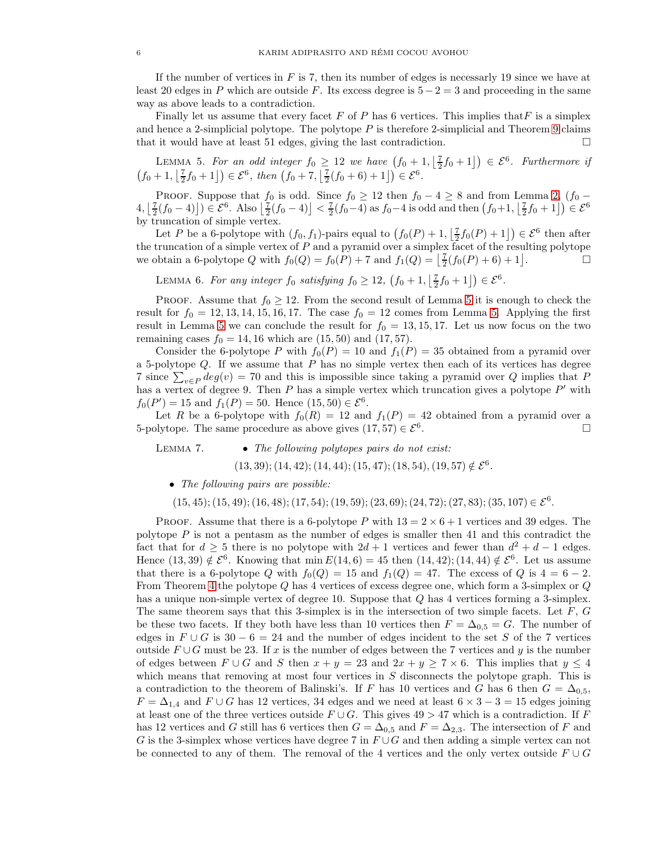If the number of vertices in  $F$  is 7, then its number of edges is necessarly 19 since we have at least 20 edges in P which are outside F. Its excess degree is  $5 - 2 = 3$  and proceeding in the same way as above leads to a contradiction.

Finally let us assume that every facet F of P has 6 vertices. This implies that F is a simplex and hence a 2-simplicial polytope. The polytope  $P$  is therefore 2-simplicial and Theorem [9](#page-2-4) claims that it would have at least 51 edges, giving the last contradiction.  $\Box$ 

<span id="page-5-0"></span>LEMMA 5. For an odd integer  $f_0 \geq 12$  we have  $(f_0 + 1, \lfloor \frac{7}{2}f_0 + 1 \rfloor) \in \mathcal{E}^6$ . Furthermore if  $(f_0 + 1, \lfloor \frac{7}{2}f_0 + 1 \rfloor) \in \mathcal{E}^6$ , then  $(f_0 + 7, \lfloor \frac{7}{2}(f_0 + 6) + 1 \rfloor) \in \mathcal{E}^6$ .

PROOF. Suppose that  $f_0$  is odd. Since  $f_0 \ge 12$  then  $f_0 - 4 \ge 8$  and from Lemma [2,](#page-3-3)  $(f_0 \left( \frac{1}{2}(f_0-4) \right) \in \mathcal{E}^6$ . Also  $\left[ \frac{7}{2}(f_0-4) \right] < \frac{7}{2}(f_0-4)$  as  $f_0-4$  is odd and then  $(f_0+1, \left[ \frac{7}{2}f_0+1 \right]) \in \mathcal{E}^6$ by truncation of simple vertex.

Let P be a 6-polytope with  $(f_0, f_1)$ -pairs equal to  $(f_0(P) + 1, \lfloor \frac{7}{2} f_0(P) + 1 \rfloor) \in \mathcal{E}^6$  then after the truncation of a simple vertex of  $P$  and a pyramid over a simplex facet of the resulting polytope we obtain a 6-polytope Q with  $f_0(Q) = f_0(P) + 7$  and  $f_1(Q) = \left[ \frac{7}{2}(f_0(P) + 6) + 1 \right]$ . — П

LEMMA 6. For any integer  $f_0$  satisfying  $f_0 \ge 12$ ,  $(f_0 + 1, \lfloor \frac{7}{2}f_0 + 1 \rfloor) \in \mathcal{E}^6$ .

PROOF. Assume that  $f_0 \geq 12$ . From the second result of Lemma [5](#page-5-0) it is enough to check the result for  $f_0 = 12, 13, 14, 15, 16, 17$ . The case  $f_0 = 12$  comes from Lemma [5.](#page-5-0) Applying the first result in Lemma [5](#page-5-0) we can conclude the result for  $f_0 = 13, 15, 17$ . Let us now focus on the two remaining cases  $f_0 = 14, 16$  which are  $(15, 50)$  and  $(17, 57)$ .

Consider the 6-polytope P with  $f_0(P) = 10$  and  $f_1(P) = 35$  obtained from a pyramid over a 5-polytope  $Q$ . If we assume that  $P$  has no simple vertex then each of its vertices has degree 7 since  $\sum_{v \in P} deg(v) = 70$  and this is impossible since taking a pyramid over Q implies that P has a vertex of degree 9. Then  $P$  has a simple vertex which truncation gives a polytope  $P'$  with  $f_0(P') = 15$  and  $f_1(P) = 50$ . Hence  $(15, 50) \in \mathcal{E}^6$ .

Let R be a 6-polytope with  $f_0(R) = 12$  and  $f_1(P) = 42$  obtained from a pyramid over a 5-polytope. The same procedure as above gives  $(17, 57) \in \mathcal{E}^6$ . . В последните поставите на примерение и производите на примерение в последните поставите на примета и примета<br>В поставите поставите на примета и примета и примета и примета и примета и примета и примета и примета и приме

LEMMA 7.  $\bullet$  The following polytopes pairs do not exist:

 $(13, 39); (14, 42); (14, 44); (15, 47); (18, 54), (19, 57) \notin \mathcal{E}^6.$ 

• The following pairs are possible:

 $(15, 45); (15, 49); (16, 48); (17, 54); (19, 59); (23, 69); (24, 72); (27, 83); (35, 107) \in \mathcal{E}^6.$ 

PROOF. Assume that there is a 6-polytope P with  $13 = 2 \times 6 + 1$  vertices and 39 edges. The polytope  $P$  is not a pentasm as the number of edges is smaller then 41 and this contradict the fact that for  $d \geq 5$  there is no polytope with  $2d + 1$  vertices and fewer than  $d^2 + d - 1$  edges. Hence  $(13, 39) \notin \mathcal{E}^6$ . Knowing that min  $E(14, 6) = 45$  then  $(14, 42)$ ;  $(14, 44) \notin \mathcal{E}^6$ . Let us assume that there is a 6-polytope Q with  $f_0(Q) = 15$  and  $f_1(Q) = 47$ . The excess of Q is  $4 = 6 - 2$ . From Theorem [4](#page-2-3) the polytope Q has 4 vertices of excess degree one, which form a 3-simplex or Q has a unique non-simple vertex of degree 10. Suppose that Q has 4 vertices forming a 3-simplex. The same theorem says that this 3-simplex is in the intersection of two simple facets. Let  $F$ ,  $G$ be these two facets. If they both have less than 10 vertices then  $F = \Delta_{0.5} = G$ . The number of edges in  $F \cup G$  is 30 − 6 = 24 and the number of edges incident to the set S of the 7 vertices outside  $F \cup G$  must be 23. If x is the number of edges between the 7 vertices and y is the number of edges between  $F \cup G$  and S then  $x + y = 23$  and  $2x + y \ge 7 \times 6$ . This implies that  $y \le 4$ which means that removing at most four vertices in  $S$  disconnects the polytope graph. This is a contradiction to the theorem of Balinski's. If F has 10 vertices and G has 6 then  $G = \Delta_{0.5}$ ,  $F = \Delta_{1,4}$  and  $F \cup G$  has 12 vertices, 34 edges and we need at least  $6 \times 3 - 3 = 15$  edges joining at least one of the three vertices outside  $F \cup G$ . This gives  $49 > 47$  which is a contradiction. If F has 12 vertices and G still has 6 vertices then  $G = \Delta_{0.5}$  and  $F = \Delta_{2.3}$ . The intersection of F and G is the 3-simplex whose vertices have degree 7 in  $F \cup G$  and then adding a simple vertex can not be connected to any of them. The removal of the 4 vertices and the only vertex outside  $F \cup G$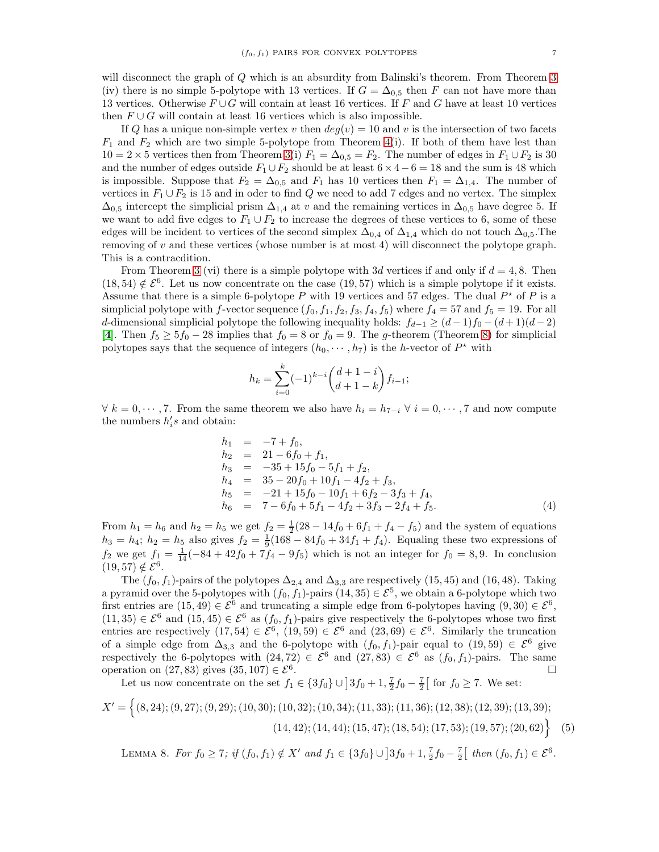will disconnect the graph of Q which is an absurdity from Balinski's theorem. From Theorem [3](#page-1-3) (iv) there is no simple 5-polytope with 13 vertices. If  $G = \Delta_{0.5}$  then F can not have more than 13 vertices. Otherwise  $F \cup G$  will contain at least 16 vertices. If F and G have at least 10 vertices then  $F \cup G$  will contain at least 16 vertices which is also impossible.

If Q has a unique non-simple vertex v then  $deg(v) = 10$  and v is the intersection of two facets  $F_1$  and  $F_2$  which are two simple 5-polytope from Theorem [4\(](#page-2-3)i). If both of them have lest than  $10 = 2 \times 5$  vertices then from Theorem [3\(](#page-1-3)i)  $F_1 = \Delta_{0.5} = F_2$ . The number of edges in  $F_1 \cup F_2$  is 30 and the number of edges outside  $F_1 \cup F_2$  should be at least  $6 \times 4 - 6 = 18$  and the sum is 48 which is impossible. Suppose that  $F_2 = \Delta_{0,5}$  and  $F_1$  has 10 vertices then  $F_1 = \Delta_{1,4}$ . The number of vertices in  $F_1 \cup F_2$  is 15 and in oder to find Q we need to add 7 edges and no vertex. The simplex  $\Delta_{0,5}$  intercept the simplicial prism  $\Delta_{1,4}$  at v and the remaining vertices in  $\Delta_{0,5}$  have degree 5. If we want to add five edges to  $F_1 \cup F_2$  to increase the degrees of these vertices to 6, some of these edges will be incident to vertices of the second simplex  $\Delta_{0.4}$  of  $\Delta_{1.4}$  which do not touch  $\Delta_{0.5}$ . The removing of v and these vertices (whose number is at most 4) will disconnect the polytope graph. This is a contracdition.

From Theorem [3](#page-1-3) (vi) there is a simple polytope with 3d vertices if and only if  $d = 4, 8$ . Then  $(18, 54) \notin \mathcal{E}^6$ . Let us now concentrate on the case  $(19, 57)$  which is a simple polytope if it exists. Assume that there is a simple 6-polytope P with 19 vertices and 57 edges. The dual  $P^*$  of P is a simplicial polytope with f-vector sequence  $(f_0, f_1, f_2, f_3, f_4, f_5)$  where  $f_4 = 57$  and  $f_5 = 19$ . For all d-dimensional simplicial polytope the following inequality holds:  $f_{d-1} \geq (d-1)f_0 - (d+1)(d-2)$ [[4](#page-10-13)]. Then  $f_5 \ge 5f_0 - 28$  implies that  $f_0 = 8$  or  $f_0 = 9$ . The g-theorem (Theorem [8\)](#page-2-5) for simplicial polytopes says that the sequence of integers  $(h_0, \dots, h_7)$  is the h-vector of  $P^*$  with

$$
h_k = \sum_{i=0}^{k} (-1)^{k-i} {d+1-i \choose d+1-k} f_{i-1};
$$

 $\forall k = 0, \dots, 7$ . From the same theorem we also have  $h_i = h_{7-i}$   $\forall i = 0, \dots, 7$  and now compute the numbers  $h_i$ 's and obtain:

$$
h_1 = -7 + f_0,
$$
  
\n
$$
h_2 = 21 - 6f_0 + f_1,
$$
  
\n
$$
h_3 = -35 + 15f_0 - 5f_1 + f_2,
$$
  
\n
$$
h_4 = 35 - 20f_0 + 10f_1 - 4f_2 + f_3,
$$
  
\n
$$
h_5 = -21 + 15f_0 - 10f_1 + 6f_2 - 3f_3 + f_4,
$$
  
\n
$$
h_6 = 7 - 6f_0 + 5f_1 - 4f_2 + 3f_3 - 2f_4 + f_5.
$$
\n(4)

From  $h_1 = h_6$  and  $h_2 = h_5$  we get  $f_2 = \frac{1}{2}(28 - 14f_0 + 6f_1 + f_4 - f_5)$  and the system of equations  $h_3 = h_4$ ;  $h_2 = h_5$  also gives  $f_2 = \frac{1}{9}(168 - 84f_0 + 34f_1 + f_4)$ . Equaling these two expressions of  $f_2$  we get  $f_1 = \frac{1}{14} (-84 + 42f_0 + 7f_4 - 9f_5)$  which is not an integer for  $f_0 = 8, 9$ . In conclusion  $(19, 57) \notin \mathcal{E}^6$ .

The  $(f_0, f_1)$ -pairs of the polytopes  $\Delta_{2,4}$  and  $\Delta_{3,3}$  are respectively (15, 45) and (16, 48). Taking a pyramid over the 5-polytopes with  $(f_0, \hat{f}_1)$ -pairs  $(14, 35) \in \mathcal{E}^5$ , we obtain a 6-polytope which two first entries are  $(15, 49) \in \mathcal{E}^6$  and truncating a simple edge from 6-polytopes having  $(9, 30) \in \mathcal{E}^6$ ,  $(11, 35) \in \mathcal{E}^6$  and  $(15, 45) \in \mathcal{E}^6$  as  $(f_0, f_1)$ -pairs give respectively the 6-polytopes whose two first entries are respectively  $(17, 54) \in \mathcal{E}^6$ ,  $(19, 59) \in \mathcal{E}^6$  and  $(23, 69) \in \mathcal{E}^6$ . Similarly the truncation of a simple edge from  $\Delta_{3,3}$  and the 6-polytope with  $(f_0, f_1)$ -pair equal to  $(19, 59) \in \mathcal{E}^6$  give respectively the 6-polytopes with  $(24, 72) \in \mathcal{E}^6$  and  $(27, 83) \in \mathcal{E}^6$  as  $(f_0, f_1)$ -pairs. The same operation on (27, 83) gives  $(35, 107) \in \mathcal{E}^6$ . .

Let us now concentrate on the set  $f_1 \in \{3f_0\} \cup \left]3f_0 + 1, \frac{7}{2}f_0 - \frac{7}{2}\right[$  for  $f_0 \ge 7$ . We set:

$$
X' = \left\{ (8, 24); (9, 27); (9, 29); (10, 30); (10, 32); (10, 34); (11, 33); (11, 36); (12, 38); (12, 39); (13, 39); (14, 42); (14, 44); (15, 47); (18, 54); (17, 53); (19, 57); (20, 62) \right\}
$$
(5)

LEMMA 8. For  $f_0 \ge 7$ ; if  $(f_0, f_1) \notin X'$  and  $f_1 \in \{3f_0\} \cup \{3f_0 + 1, \frac{7}{2}f_0 - \frac{7}{2}\}$  then  $(f_0, f_1) \in \mathcal{E}^6$ .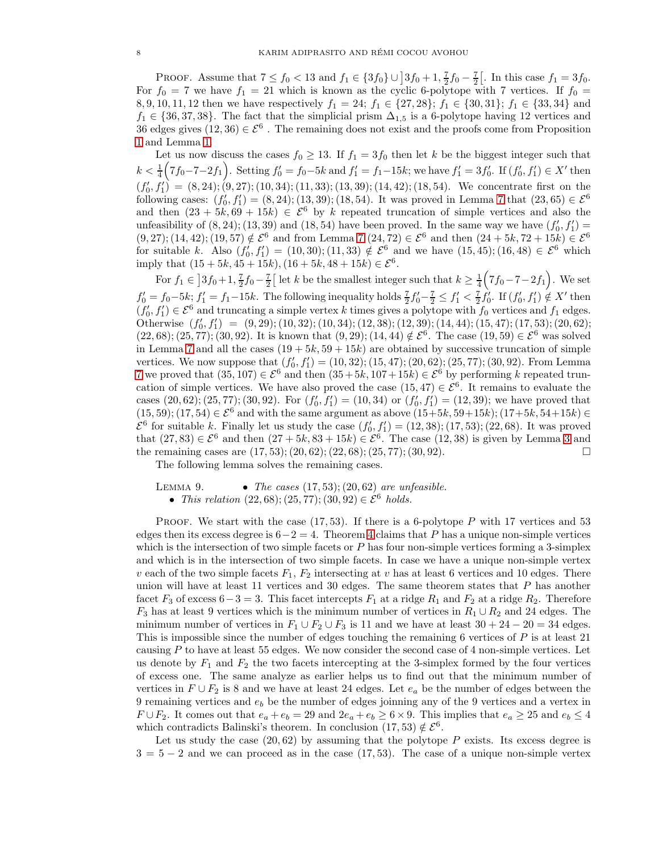PROOF. Assume that  $7 \le f_0 < 13$  and  $f_1 \in \{3f_0\} \cup \{3f_0 + 1, \frac{7}{2}f_0 - \frac{7}{2}\}.$  In this case  $f_1 = 3f_0$ . For  $f_0 = 7$  we have  $f_1 = 21$  which is known as the cyclic 6-polytope with 7 vertices. If  $f_0 =$ 8, 9, 10, 11, 12 then we have respectively  $f_1 = 24$ ;  $f_1 \in \{27, 28\}$ ;  $f_1 \in \{30, 31\}$ ;  $f_1 \in \{33, 34\}$  and  $f_1 \in \{36, 37, 38\}$ . The fact that the simplicial prism  $\Delta_{1,5}$  is a 6-polytope having 12 vertices and 36 edges gives  $(12, 36) \in \mathcal{E}^6$ . The remaining does not exist and the proofs come from Proposition [1](#page-3-4) and Lemma [1.](#page-3-2)

Let us now discuss the cases  $f_0 \geq 13$ . If  $f_1 = 3f_0$  then let k be the biggest integer such that  $k < \frac{1}{4} (7f_0 - 7 - 2f_1)$ . Setting  $f'_0 = f_0 - 5k$  and  $f'_1 = f_1 - 15k$ ; we have  $f'_1 = 3f'_0$ . If  $(f'_0, f'_1) \in X'$  then  $(f'_0, f'_1) = (8, 24); (9, 27); (10, 34); (11, 33); (13, 39); (14, 42); (18, 54).$  We concentrate first on the following cases:  $(f'_0, f'_1) = (8, 24)$ ; (13, 39); (18, 54). It was proved in Lemma 7 that  $(23, 65) \in \mathcal{E}^6$ and then  $(23 + 5k, 69 + 15k) \in \mathcal{E}^6$  by k repeated truncation of simple vertices and also the unfeasibility of  $(8, 24)$ ;  $(13, 39)$  and  $(18, 54)$  have been proved. In the same way we have  $(f'_0, f'_1)$ differently of  $(0, 24)$ ,  $(13, 39)$  and  $(16, 34)$  have been proved. In the same way we have  $(10, 11)$  –  $(9, 27)$ ;  $(14, 42)$ ;  $(19, 57) \notin \mathcal{E}^6$  and from Lemma 7  $(24, 72) \in \mathcal{E}^6$  and then  $(24 + 5k, 72 + 15k) \in \math$ for suitable k. Also  $(f'_0, f'_1) = (10, 30); (11, 33) \notin \mathcal{E}^6$  and we have  $(15, 45); (16, 48) \in \mathcal{E}^6$  which imply that  $(15 + 5k, 45 + 15k), (16 + 5k, 48 + 15k) \in \mathcal{E}^6$ .

For  $f_1 \in \left] 3f_0 + 1, \frac{7}{2}f_0 - \frac{7}{2} \right[$  let k be the smallest integer such that  $k \geq \frac{1}{4}(7f_0 - 7 - 2f_1)$ . We set  $f'_0 = f_0 - 5k$ ;  $f'_1 = f_1 - 15k$ . The following inequality holds  $\frac{7}{2}f'_0 - \frac{7}{2} \le f'_1 < \frac{7}{2}f'_0$ . If  $(f'_0, f'_1) \notin X'$  then  $(f'_0, f'_1) \in \mathcal{E}^6$  and truncating a simple vertex k times gives a polytope with  $f_0$  vertices and  $f_1$  edges. Otherwise  $(f'_0, f'_1) = (9, 29); (10, 32); (10, 34); (12, 38); (12, 39); (14, 44); (15, 47); (17, 53); (20, 62);$  $(22, 68)$ ;  $(25, 77)$ ;  $(30, 92)$ . It is known that  $(9, 29)$ ;  $(14, 44) \notin \mathcal{E}^6$ . The case  $(19, 59) \in \mathcal{E}^6$  was solved in Lemma 7 and all the cases  $(19 + 5k, 59 + 15k)$  are obtained by successive truncation of simple vertices. We now suppose that  $(f'_0, f'_1) = (10, 32); (15, 47); (20, 62); (25, 77); (30, 92)$ . From Lemma 7 we proved that  $(35, 107) \in \mathcal{E}^6$  and then  $(35 + 5k, 107 + 15k) \in \mathcal{E}^6$  by performing k repeated truncation of simple vertices. We have also proved the case  $(15, 47) \in \mathcal{E}^6$ . It remains to evaluate the cases  $(20, 62)$ ;  $(25, 77)$ ;  $(30, 92)$ . For  $(f'_0, f'_1) = (10, 34)$  or  $(f'_0, f'_1) = (12, 39)$ ; we have proved that  $(15, 59); (17, 54) \in \mathcal{E}^6$  and with the same argument as above  $(15+5k, 59+15k); (17+5k, 54+15k) \in$  $\mathcal{E}^6$  for suitable k. Finally let us study the case  $(f'_0, f'_1) = (12, 38); (17, 53); (22, 68)$ . It was proved that  $(27, 83) \in \mathcal{E}^6$  and then  $(27 + 5k, 83 + 15k) \in \mathcal{E}^6$ . The case  $(12, 38)$  is given by Lemma 3 and the remaining cases are  $(17, 53)$ ;  $(20, 62)$ ;  $(22, 68)$ ;  $(25, 77)$ ;  $(30, 92)$ .

The following lemma solves the remaining cases.

LEMMA 9. • The cases  $(17, 53)$ ;  $(20, 62)$  are unfeasible. • This relation  $(22, 68)$ ;  $(25, 77)$ ;  $(30, 92) \in \mathcal{E}^6$  holds.

PROOF. We start with the case  $(17, 53)$ . If there is a 6-polytope P with 17 vertices and 53 edges then its excess degree is  $6-2=4$ . Theorem [4](#page-2-3) claims that P has a unique non-simple vertices which is the intersection of two simple facets or  $P$  has four non-simple vertices forming a 3-simplex and which is in the intersection of two simple facets. In case we have a unique non-simple vertex v each of the two simple facets  $F_1$ ,  $F_2$  intersecting at v has at least 6 vertices and 10 edges. There union will have at least 11 vertices and 30 edges. The same theorem states that  $P$  has another facet  $F_3$  of excess 6 – 3 = 3. This facet intercepts  $F_1$  at a ridge  $R_1$  and  $F_2$  at a ridge  $R_2$ . Therefore  $F_3$  has at least 9 vertices which is the minimum number of vertices in  $R_1 \cup R_2$  and 24 edges. The minimum number of vertices in  $F_1 \cup F_2 \cup F_3$  is 11 and we have at least  $30 + 24 - 20 = 34$  edges. This is impossible since the number of edges touching the remaining  $6$  vertices of  $P$  is at least 21 causing P to have at least 55 edges. We now consider the second case of 4 non-simple vertices. Let us denote by  $F_1$  and  $F_2$  the two facets intercepting at the 3-simplex formed by the four vertices of excess one. The same analyze as earlier helps us to find out that the minimum number of vertices in  $F \cup F_2$  is 8 and we have at least 24 edges. Let  $e_a$  be the number of edges between the 9 remaining vertices and  $e<sub>b</sub>$  be the number of edges joinning any of the 9 vertices and a vertex in  $F \cup F_2$ . It comes out that  $e_a + e_b = 29$  and  $2e_a + e_b \ge 6 \times 9$ . This implies that  $e_a \ge 25$  and  $e_b \le 4$ which contradicts Balinski's theorem. In conclusion  $(17, 53) \notin \mathcal{E}^6$ .

Let us study the case  $(20, 62)$  by assuming that the polytope P exists. Its excess degree is  $3 = 5 - 2$  and we can proceed as in the case (17,53). The case of a unique non-simple vertex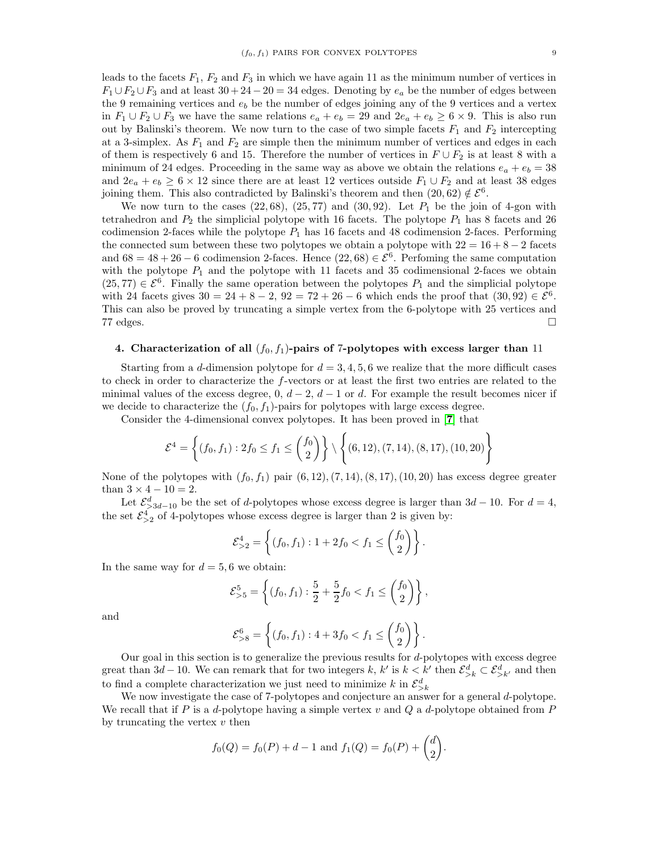leads to the facets  $F_1$ ,  $F_2$  and  $F_3$  in which we have again 11 as the minimum number of vertices in  $F_1 \cup F_2 \cup F_3$  and at least  $30 + 24 - 20 = 34$  edges. Denoting by  $e_a$  be the number of edges between the 9 remaining vertices and  $e<sub>b</sub>$  be the number of edges joining any of the 9 vertices and a vertex in  $F_1 \cup F_2 \cup F_3$  we have the same relations  $e_a + e_b = 29$  and  $2e_a + e_b \ge 6 \times 9$ . This is also run out by Balinski's theorem. We now turn to the case of two simple facets  $F_1$  and  $F_2$  intercepting at a 3-simplex. As  $F_1$  and  $F_2$  are simple then the minimum number of vertices and edges in each of them is respectively 6 and 15. Therefore the number of vertices in  $F \cup F_2$  is at least 8 with a minimum of 24 edges. Proceeding in the same way as above we obtain the relations  $e_a + e_b = 38$ and  $2e_a + e_b \ge 6 \times 12$  since there are at least 12 vertices outside  $F_1 \cup F_2$  and at least 38 edges joining them. This also contradicted by Balinski's theorem and then  $(20, 62) \notin \mathcal{E}^6$ .

We now turn to the cases  $(22, 68)$ ,  $(25, 77)$  and  $(30, 92)$ . Let  $P_1$  be the join of 4-gon with tetrahedron and  $P_2$  the simplicial polytope with 16 facets. The polytope  $P_1$  has 8 facets and 26 codimension 2-faces while the polytope  $P_1$  has 16 facets and 48 codimension 2-faces. Performing the connected sum between these two polytopes we obtain a polytope with  $22 = 16 + 8 - 2$  facets and  $68 = 48 + 26 - 6$  codimension 2-faces. Hence  $(22, 68) \in \mathcal{E}^6$ . Perfoming the same computation with the polytope  $P_1$  and the polytope with 11 facets and 35 codimensional 2-faces we obtain  $(25, 77) \in \mathcal{E}^6$ . Finally the same operation between the polytopes  $P_1$  and the simplicial polytope with 24 facets gives  $30 = 24 + 8 - 2$ ,  $92 = 72 + 26 - 6$  which ends the proof that  $(30, 92) \in \mathcal{E}^6$ . This can also be proved by truncating a simple vertex from the 6-polytope with 25 vertices and  $77$  edges.

# <span id="page-8-0"></span>4. Characterization of all  $(f_0, f_1)$ -pairs of 7-polytopes with excess larger than 11

Starting from a d-dimension polytope for  $d = 3, 4, 5, 6$  we realize that the more difficult cases to check in order to characterize the f-vectors or at least the first two entries are related to the minimal values of the excess degree, 0,  $d-2$ ,  $d-1$  or d. For example the result becomes nicer if we decide to characterize the  $(f_0, f_1)$ -pairs for polytopes with large excess degree.

Consider the 4-dimensional convex polytopes. It has been proved in [[7](#page-10-7)] that

$$
\mathcal{E}^4 = \left\{ (f_0, f_1) : 2f_0 \le f_1 \le {f_0 \choose 2} \right\} \setminus \left\{ (6, 12), (7, 14), (8, 17), (10, 20) \right\}
$$

None of the polytopes with  $(f_0, f_1)$  pair  $(6, 12), (7, 14), (8, 17), (10, 20)$  has excess degree greater than  $3 \times 4 - 10 = 2$ .

Let  $\mathcal{E}^d_{\geq 3d-10}$  be the set of d-polytopes whose excess degree is larger than  $3d-10$ . For  $d=4$ , the set  $\mathcal{E}^4_{\geq 2}$  of 4-polytopes whose excess degree is larger than 2 is given by:

$$
\mathcal{E}^4_{>2} = \left\{ (f_0, f_1) : 1 + 2f_0 < f_1 \le \binom{f_0}{2} \right\}.
$$

In the same way for  $d = 5, 6$  we obtain:

$$
\mathcal{E}_{>5}^5 = \left\{ (f_0, f_1) : \frac{5}{2} + \frac{5}{2} f_0 < f_1 \le \binom{f_0}{2} \right\},\,
$$

and

$$
\mathcal{E}_{>8}^6 = \left\{ (f_0, f_1) : 4 + 3f_0 < f_1 \le \binom{f_0}{2} \right\}.
$$

Our goal in this section is to generalize the previous results for d-polytopes with excess degree great than  $3d-10$ . We can remark that for two integers k, k' is  $k < k'$  then  $\mathcal{E}^d_{\geq k} \subset \mathcal{E}^d_{\geq k'}$  and then to find a complete characterization we just need to minimize  $k$  in  $\mathcal{E}_{> k}^d$ 

We now investigate the case of 7-polytopes and conjecture an answer for a general d-polytope. We recall that if P is a d-polytope having a simple vertex  $v$  and  $Q$  a d-polytope obtained from P by truncating the vertex  $v$  then

$$
f_0(Q) = f_0(P) + d - 1
$$
 and  $f_1(Q) = f_0(P) + \begin{pmatrix} d \\ 2 \end{pmatrix}$ .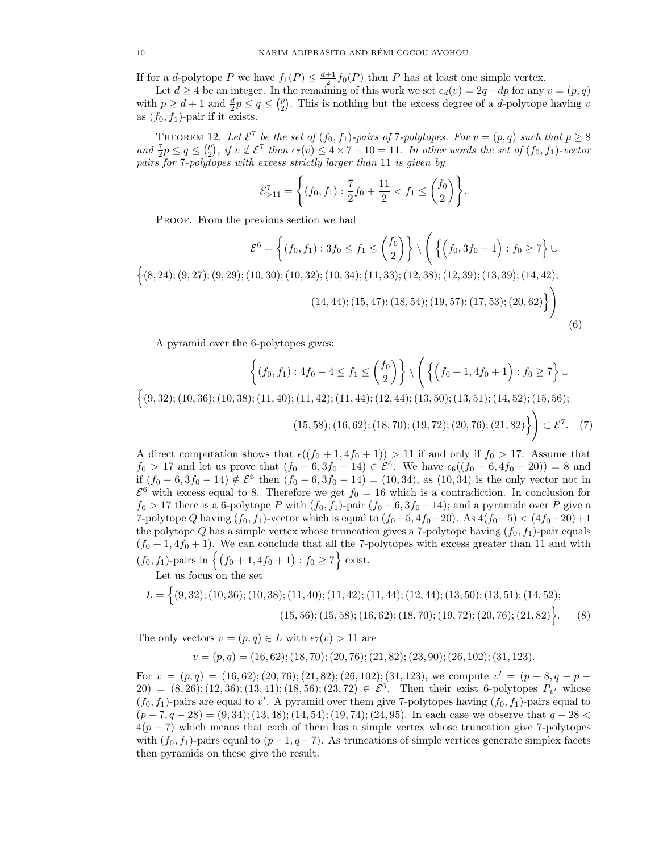If for a *d*-polytope P we have  $f_1(P) \leq \frac{d+1}{2} f_0(P)$  then P has at least one simple vertex.

Let  $d \geq 4$  be an integer. In the remaining of this work we set  $\epsilon_d(v) = 2q - dp$  for any  $v = (p, q)$ with  $p \geq d+1$  and  $\frac{d}{2}p \leq q \leq {p \choose 2}$  $_{2}^{p}$ ). This is nothing but the excess degree of a *d*-polytope having *v* as  $(f_0, f_1)$ -pair if it exists.

<span id="page-9-0"></span>THEOREM 12. Let  $\mathcal{E}^7$  be the set of  $(f_0, f_1)$ -pairs of 7-polytopes. For  $v = (p, q)$  such that  $p \geq 8$ and  $\frac{7}{2}p \leq q \leq {p \choose 2}$ , if  $v \notin \mathcal{E}^7$  then  $\epsilon_7(v) \leq 4 \times 7 - 10 = 11$ . In other words the set of  $(f_0, f_1)$ -vector pairs for 7-polytopes with excess strictly larger than 11 is given by

$$
\mathcal{E}_{>11}^7 = \left\{ (f_0, f_1) : \frac{7}{2} f_0 + \frac{11}{2} < f_1 \le \binom{f_0}{2} \right\}.
$$

PROOF. From the previous section we had

$$
\mathcal{E}^{6} = \left\{ (f_0, f_1) : 3f_0 \le f_1 \le {f_0 \choose 2} \right\} \setminus \left( \left\{ \left( f_0, 3f_0 + 1 \right) : f_0 \ge 7 \right\} \cup \left\{ (8, 24); (9, 27); (9, 29); (10, 30); (10, 32); (10, 34); (11, 33); (12, 38); (12, 39); (13, 39); (14, 42); \right\}
$$
\n
$$
(14, 44); (15, 47); (18, 54); (19, 57); (17, 53); (20, 62) \right\}
$$
\n
$$
(6)
$$

A pyramid over the 6-polytopes gives:

$$
\left\{ (f_0, f_1) : 4f_0 - 4 \le f_1 \le {f_0 \choose 2} \right\} \setminus \left( \left\{ \left( f_0 + 1, 4f_0 + 1 \right) : f_0 \ge 7 \right\} \cup \left\{ (9, 32); (10, 36); (10, 38); (11, 40); (11, 42); (11, 44); (12, 44); (13, 50); (13, 51); (14, 52); (15, 56); \ (15, 58); (16, 62); (18, 70); (19, 72); (20, 76); (21, 82) \right\} \right) \subset \mathcal{E}^7. \tag{7}
$$

A direct computation shows that  $\epsilon((f_0 + 1, 4f_0 + 1)) > 11$  if and only if  $f_0 > 17$ . Assume that  $f_0 > 17$  and let us prove that  $(f_0 - 6, 3f_0 - 14) \in \mathcal{E}^6$ . We have  $\epsilon_6((f_0 - 6, 4f_0 - 20)) = 8$  and if  $(f_0 - 6, 3f_0 - 14) \notin \mathcal{E}^6$  then  $(f_0 - 6, 3f_0 - 14) = (10, 34)$ , as  $(10, 34)$  is the only vector not in  $\mathcal{E}^6$  with excess equal to 8. Therefore we get  $f_0 = 16$  which is a contradiction. In conclusion for  $f_0 > 17$  there is a 6-polytope P with  $(f_0, f_1)$ -pair  $(f_0 - 6, 3f_0 - 14)$ ; and a pyramide over P give a 7-polytope Q having  $(f_0, f_1)$ -vector which is equal to  $(f_0-5, 4f_0-20)$ . As  $4(f_0-5) < (4f_0-20)+1$ the polytope Q has a simple vertex whose truncation gives a 7-polytope having  $(f_0, f_1)$ -pair equals  $(f_0 + 1, 4f_0 + 1)$ . We can conclude that all the 7-polytopes with excess greater than 11 and with  $(f_0, f_1)$ -pairs in  $\{(f_0 + 1, 4f_0 + 1) : f_0 \ge 7\}$  exist.

Let us focus on the set

$$
L = \left\{ (9,32); (10,36); (10,38); (11,40); (11,42); (11,44); (12,44); (13,50); (13,51); (14,52); (15,56); (15,58); (16,62); (18,70); (19,72); (20,76); (21,82) \right\}.
$$
 (8)

The only vectors  $v = (p, q) \in L$  with  $\epsilon_7(v) > 11$  are

$$
v = (p, q) = (16, 62); (18, 70); (20, 76); (21, 82); (23, 90); (26, 102); (31, 123).
$$

For  $v = (p,q) = (16,62); (20,76); (21,82); (26,102); (31,123)$ , we compute  $v' = (p-8,q-p-1)$  $20) = (8, 26); (12, 36); (13, 41); (18, 56); (23, 72) \in \mathcal{E}^6$ . Then their exist 6-polytopes  $P_{v'}$  whose  $(f_0, f_1)$ -pairs are equal to v'. A pyramid over them give 7-polytopes having  $(f_0, f_1)$ -pairs equal to  $(p-7, q-28) = (9, 34); (13, 48); (14, 54); (19, 74); (24, 95).$  In each case we observe that  $q-28 <$  $4(p-7)$  which means that each of them has a simple vertex whose truncation give 7-polytopes with  $(f_0, f_1)$ -pairs equal to  $(p-1, q-7)$ . As truncations of simple vertices generate simplex facets then pyramids on these give the result.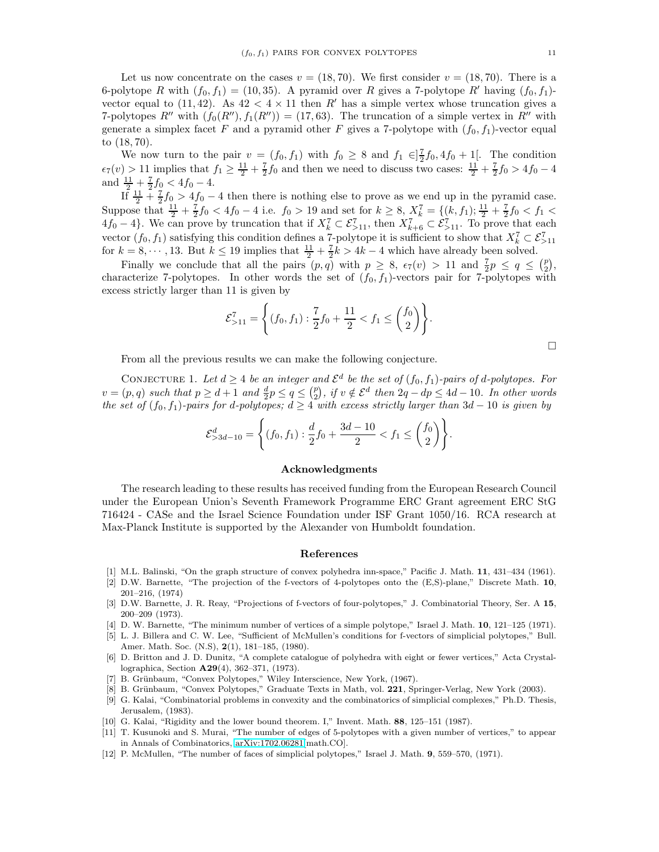$\Box$ 

Let us now concentrate on the cases  $v = (18, 70)$ . We first consider  $v = (18, 70)$ . There is a 6-polytope R with  $(f_0, f_1) = (10, 35)$ . A pyramid over R gives a 7-polytope R' having  $(f_0, f_1)$ vector equal to (11, 42). As  $42 < 4 \times 11$  then R' has a simple vertex whose truncation gives a 7-polytopes R'' with  $(f_0(R''), f_1(R'')) = (17, 63)$ . The truncation of a simple vertex in R'' with generate a simplex facet F and a pyramid other F gives a 7-polytope with  $(f_0, f_1)$ -vector equal to (18, 70).

We now turn to the pair  $v = (f_0, f_1)$  with  $f_0 \geq 8$  and  $f_1 \in ]\frac{7}{2}f_0, 4f_0 + 1[$ . The condition  $\epsilon_7(v) > 11$  implies that  $f_1 \ge \frac{11}{2} + \frac{7}{2}f_0$  and then we need to discuss two cases:  $\frac{11}{2} + \frac{7}{2}f_0 > 4f_0 - 4$ and  $\frac{11}{2} + \frac{7}{2}f_0 < 4f_0 - 4$ .

If  $\frac{11}{2} + \frac{7}{2}f_0 > 4f_0 - 4$  then there is nothing else to prove as we end up in the pyramid case. Suppose that  $\frac{11}{2} + \frac{7}{2}f_0 < 4f_0 - 4$  i.e.  $f_0 > 19$  and set for  $k \ge 8$ ,  $X_k^7 = \{(k, f_1) ; \frac{11}{2} + \frac{7}{2}f_0 < f_1 <$  $4f_0 - 4$ . We can prove by truncation that if  $X_k^7 \subset \mathcal{E}_{>11}^7$ , then  $X_{k+6}^7 \subset \mathcal{E}_{>11}^7$ . To prove that each vector  $(f_0, f_1)$  satisfying this condition defines a 7-polytope it is sufficient to show that  $X_k^7 \subset \mathcal{E}_{\geq 11}^7$ for  $k = 8, \dots, 13$ . But  $k \leq 19$  implies that  $\frac{11}{2} + \frac{7}{2}k > 4k - 4$  which have already been solved.

Finally we conclude that all the pairs  $(p, q)$  with  $p \geq 8$ ,  $\epsilon_7(v) > 11$  and  $\frac{7}{2}p \leq q \leq {p \choose 2}$  $_{2}^{p}),$ characterize 7-polytopes. In other words the set of  $(f_0, f_1)$ -vectors pair for 7-polytopes with excess strictly larger than 11 is given by

$$
\mathcal{E}_{>11}^7 = \left\{ (f_0, f_1) : \frac{7}{2} f_0 + \frac{11}{2} < f_1 \le \binom{f_0}{2} \right\}.
$$

From all the previous results we can make the following conjecture.

<span id="page-10-9"></span>CONJECTURE 1. Let  $d \geq 4$  be an integer and  $\mathcal{E}^d$  be the set of  $(f_0, f_1)$ -pairs of d-polytopes. For  $v = (p, q)$  such that  $p \ge d + 1$  and  $\frac{d}{2}p \le q \le {p \choose 2}$ , if  $v \notin \mathcal{E}^d$  then  $2q - dp \le 4d - 10$ . In other words the set of  $(f_0, f_1)$ -pairs for d-polytopes;  $d \geq 4$  with excess strictly larger than 3d – 10 is given by

$$
\mathcal{E}^{d}_{>3d-10} = \left\{ (f_0, f_1) : \frac{d}{2} f_0 + \frac{3d-10}{2} < f_1 \leq {f_0 \choose 2} \right\}.
$$

### <span id="page-10-0"></span>Acknowledgments

The research leading to these results has received funding from the European Research Council under the European Union's Seventh Framework Programme ERC Grant agreement ERC StG 716424 - CASe and the Israel Science Foundation under ISF Grant 1050/16. RCA research at Max-Planck Institute is supported by the Alexander von Humboldt foundation.

#### <span id="page-10-1"></span>References

- <span id="page-10-12"></span><span id="page-10-5"></span>[1] M.L. Balinski, "On the graph structure of convex polyhedra inn-space," Pacific J. Math. 11, 431–434 (1961).
- [2] D.W. Barnette, "The projection of the f-vectors of 4-polytopes onto the (E,S)-plane," Discrete Math. 10, 201–216, (1974)
- <span id="page-10-6"></span>[3] D.W. Barnette, J. R. Reay, "Projections of f-vectors of four-polytopes," J. Combinatorial Theory, Ser. A 15, 200–209 (1973).
- <span id="page-10-13"></span><span id="page-10-2"></span>[4] D. W. Barnette, "The minimum number of vertices of a simple polytope," Israel J. Math. 10, 121–125 (1971).
- [5] L. J. Billera and C. W. Lee, "Sufficient of McMullen's conditions for f-vectors of simplicial polytopes," Bull. Amer. Math. Soc. (N.S), 2(1), 181–185, (1980).
- [6] D. Britton and J. D. Dunitz, "A complete catalogue of polyhedra with eight or fewer vertices," Acta Crystallographica, Section A29(4), 362–371, (1973).
- <span id="page-10-7"></span><span id="page-10-4"></span>[7] B. Grünbaum, "Convex Polytopes," Wiley Interscience, New York, (1967).
- <span id="page-10-11"></span>[8] B. Grünbaum, "Convex Polytopes," Graduate Texts in Math, vol. 221, Springer-Verlag, New York (2003).
- [9] G. Kalai, "Combinatorial problems in convexity and the combinatorics of simplicial complexes," Ph.D. Thesis, Jerusalem, (1983).
- <span id="page-10-10"></span><span id="page-10-8"></span>[10] G. Kalai, "Rigidity and the lower bound theorem. I," Invent. Math. 88, 125–151 (1987).
- [11] T. Kusunoki and S. Murai, "The number of edges of 5-polytopes with a given number of vertices," to appear in Annals of Combinatorics, [arXiv:1702.06281\[](http://arxiv.org/abs/1702.06281)math.CO].
- <span id="page-10-3"></span>[12] P. McMullen, "The number of faces of simplicial polytopes," Israel J. Math. 9, 559–570, (1971).